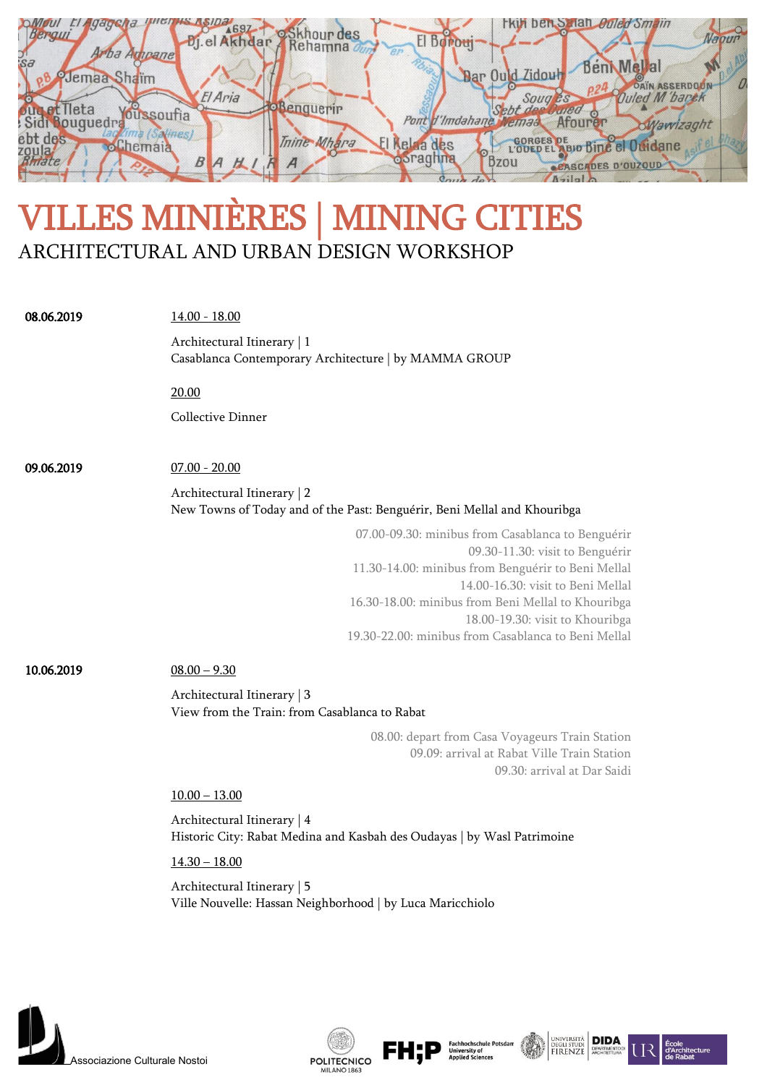| <b>A697</b><br>Bergul<br>$J$ <sub>L</sub> el Ak<br>Arba Ampanel<br>$S_{\alpha}$ | rky ben S lan <i>buled Smain</i><br>skhour des<br>Rehamna<br>$\Omega$ .<br>El Boroui                                             |
|---------------------------------------------------------------------------------|----------------------------------------------------------------------------------------------------------------------------------|
| Jemaa Shaim<br>El Aria<br>t Ileta<br>oussoufia                                  | <b>BenMellal</b><br>Dar Ould Zidou<br>D<br><b>Ouled M</b> banek<br>Soug<br>enduerir<br>$S$ ebt $\rho$<br>Pont d'Imdahane<br>emaa |
| ougue<br>ebt des<br><b>A</b> bemaia<br>zoula<br>$P_{f\alpha}$                   | raght<br>Thine Mhara<br><b>GORGES DE</b><br><b>Kelaa des</b><br><b>оогадппа</b><br><b>Bzou</b><br><b>CASCADES D'OUZOUD</b>       |

## VILLES MINIÈRES | MINING CITIES ARCHITECTURAL AND URBAN DESIGN WORKSHOP

| 08.06.2019 | $14.00 - 18.00$                                                                                                               |  |  |
|------------|-------------------------------------------------------------------------------------------------------------------------------|--|--|
|            | Architectural Itinerary   1                                                                                                   |  |  |
|            | Casablanca Contemporary Architecture   by MAMMA GROUP                                                                         |  |  |
|            | 20.00                                                                                                                         |  |  |
|            | <b>Collective Dinner</b>                                                                                                      |  |  |
|            |                                                                                                                               |  |  |
| 09.06.2019 | $07.00 - 20.00$                                                                                                               |  |  |
|            | Architectural Itinerary   2<br>New Towns of Today and of the Past: Benguérir, Beni Mellal and Khouribga                       |  |  |
|            | 07.00-09.30: minibus from Casablanca to Benguérir                                                                             |  |  |
|            | 09.30-11.30: visit to Benguérir<br>11.30-14.00: minibus from Benguérir to Beni Mellal                                         |  |  |
|            | 14.00-16.30: visit to Beni Mellal                                                                                             |  |  |
|            | 16.30-18.00: minibus from Beni Mellal to Khouribga                                                                            |  |  |
|            | 18.00-19.30: visit to Khouribga<br>19.30-22.00: minibus from Casablanca to Beni Mellal                                        |  |  |
| 10.06.2019 | $08.00 - 9.30$                                                                                                                |  |  |
|            | Architectural Itinerary   3<br>View from the Train: from Casablanca to Rabat                                                  |  |  |
|            |                                                                                                                               |  |  |
|            | 08.00: depart from Casa Voyageurs Train Station<br>09.09: arrival at Rabat Ville Train Station<br>09.30: arrival at Dar Saidi |  |  |
|            | $10.00 - 13.00$                                                                                                               |  |  |
|            | Architectural Itinerary   4<br>Historic City: Rabat Medina and Kasbah des Oudayas   by Wasl Patrimoine                        |  |  |
|            | $14.30 - 18.00$<br>Architectural Itinerary   5<br>Ville Nouvelle: Hassan Neighborhood   by Luca Maricchiolo                   |  |  |
|            |                                                                                                                               |  |  |
|            |                                                                                                                               |  |  |